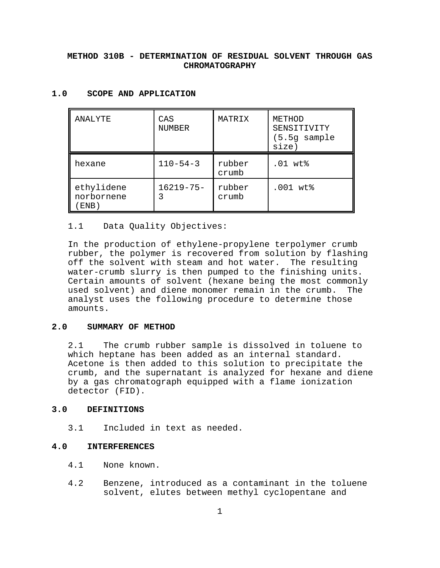# **METHOD 310B - DETERMINATION OF RESIDUAL SOLVENT THROUGH GAS CHROMATOGRAPHY**

| ANALYTE                             | CAS<br>NUMBER       | MATRIX          | METHOD<br>SENSITIVITY<br>$(5.5g$ sample<br>size) |
|-------------------------------------|---------------------|-----------------|--------------------------------------------------|
| hexane                              | $110 - 54 - 3$      | rubber<br>crumb | $.01$ wt $\$$                                    |
| ethylidene<br>norbornene<br>$END$ ) | $16219 - 75 -$<br>3 | rubber<br>crumb | .001 wt%                                         |

# **1.0 SCOPE AND APPLICATION**

#### 1.1 Data Quality Objectives:

In the production of ethylene-propylene terpolymer crumb rubber, the polymer is recovered from solution by flashing off the solvent with steam and hot water. The resulting water-crumb slurry is then pumped to the finishing units. Certain amounts of solvent (hexane being the most commonly used solvent) and diene monomer remain in the crumb. The analyst uses the following procedure to determine those amounts.

## **2.0 SUMMARY OF METHOD**

2.1 The crumb rubber sample is dissolved in toluene to which heptane has been added as an internal standard. Acetone is then added to this solution to precipitate the crumb, and the supernatant is analyzed for hexane and diene by a gas chromatograph equipped with a flame ionization detector (FID).

### **3.0 DEFINITIONS**

3.1 Included in text as needed.

#### **4.0 INTERFERENCES**

- 4.1 None known.
- 4.2 Benzene, introduced as a contaminant in the toluene solvent, elutes between methyl cyclopentane and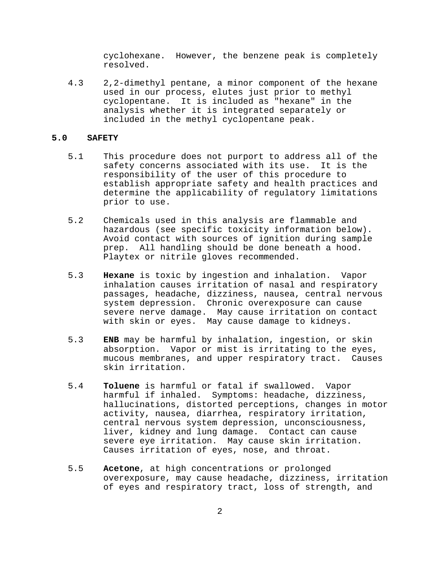cyclohexane. However, the benzene peak is completely resolved.

4.3 2,2-dimethyl pentane, a minor component of the hexane used in our process, elutes just prior to methyl cyclopentane. It is included as "hexane" in the analysis whether it is integrated separately or included in the methyl cyclopentane peak.

## **5.0 SAFETY**

- 5.1 This procedure does not purport to address all of the safety concerns associated with its use. It is the responsibility of the user of this procedure to establish appropriate safety and health practices and determine the applicability of regulatory limitations prior to use.
- 5.2 Chemicals used in this analysis are flammable and hazardous (see specific toxicity information below). Avoid contact with sources of ignition during sample prep. All handling should be done beneath a hood. Playtex or nitrile gloves recommended.
- 5.3 **Hexane** is toxic by ingestion and inhalation. Vapor inhalation causes irritation of nasal and respiratory passages, headache, dizziness, nausea, central nervous system depression. Chronic overexposure can cause severe nerve damage. May cause irritation on contact with skin or eyes. May cause damage to kidneys.
- 5.3 **ENB** may be harmful by inhalation, ingestion, or skin absorption. Vapor or mist is irritating to the eyes, mucous membranes, and upper respiratory tract. Causes skin irritation.
- 5.4 **Toluene** is harmful or fatal if swallowed. Vapor harmful if inhaled. Symptoms: headache, dizziness, hallucinations, distorted perceptions, changes in motor activity, nausea, diarrhea, respiratory irritation, central nervous system depression, unconsciousness, liver, kidney and lung damage. Contact can cause severe eye irritation. May cause skin irritation. Causes irritation of eyes, nose, and throat.
- 5.5 **Acetone**, at high concentrations or prolonged overexposure, may cause headache, dizziness, irritation of eyes and respiratory tract, loss of strength, and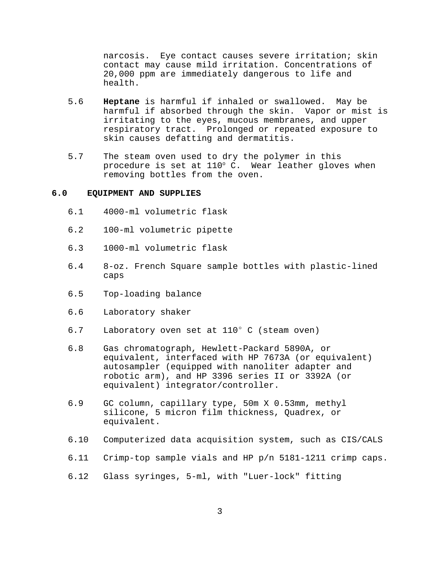narcosis. Eye contact causes severe irritation; skin contact may cause mild irritation. Concentrations of 20,000 ppm are immediately dangerous to life and health.

- 5.6 **Heptane** is harmful if inhaled or swallowed. May be harmful if absorbed through the skin. Vapor or mist is irritating to the eyes, mucous membranes, and upper respiratory tract. Prolonged or repeated exposure to skin causes defatting and dermatitis.
- 5.7 The steam oven used to dry the polymer in this procedure is set at  $110^{\circ}$  C. Wear leather gloves when removing bottles from the oven.

## **6.0 EQUIPMENT AND SUPPLIES**

- 6.1 4000-ml volumetric flask
- 6.2 100-ml volumetric pipette
- 6.3 1000-ml volumetric flask
- 6.4 8-oz. French Square sample bottles with plastic-lined caps
- 6.5 Top-loading balance
- 6.6 Laboratory shaker
- 6.7 Laboratory oven set at  $110^{\circ}$  C (steam oven)
- 6.8 Gas chromatograph, Hewlett-Packard 5890A, or equivalent, interfaced with HP 7673A (or equivalent) autosampler (equipped with nanoliter adapter and robotic arm), and HP 3396 series II or 3392A (or equivalent) integrator/controller.
- 6.9 GC column, capillary type, 50m X 0.53mm, methyl silicone, 5 micron film thickness, Quadrex, or equivalent.
- 6.10 Computerized data acquisition system, such as CIS/CALS
- 6.11 Crimp-top sample vials and HP p/n 5181-1211 crimp caps.
- 6.12 Glass syringes, 5-ml, with "Luer-lock" fitting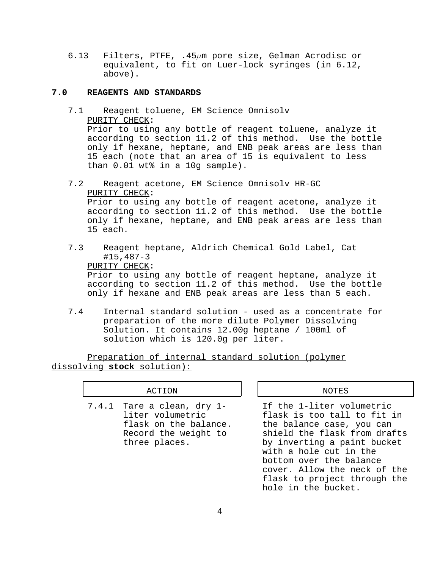6.13 Filters, PTFE,  $.45\mu$ m pore size, Gelman Acrodisc or equivalent, to fit on Luer-lock syringes (in 6.12, above).

### **7.0 REAGENTS AND STANDARDS**

- 7.1 Reagent toluene, EM Science Omnisolv PURITY CHECK: Prior to using any bottle of reagent toluene, analyze it according to section 11.2 of this method. Use the bottle only if hexane, heptane, and ENB peak areas are less than 15 each (note that an area of 15 is equivalent to less than 0.01 wt% in a 10g sample).
- 7.2 Reagent acetone, EM Science Omnisolv HR-GC PURITY CHECK: Prior to using any bottle of reagent acetone, analyze it according to section 11.2 of this method. Use the bottle only if hexane, heptane, and ENB peak areas are less than 15 each.
- 7.3 Reagent heptane, Aldrich Chemical Gold Label, Cat #15,487-3 PURITY CHECK: Prior to using any bottle of reagent heptane, analyze it according to section 11.2 of this method. Use the bottle only if hexane and ENB peak areas are less than 5 each.
- 7.4 Internal standard solution used as a concentrate for preparation of the more dilute Polymer Dissolving Solution. It contains 12.00g heptane / 100ml of solution which is 120.0g per liter.

Preparation of internal standard solution (polymer dissolving **stock** solution):

### ACTION  $\parallel$   $\parallel$  NOTES

7.4.1 Tare a clean, dry 1- If the 1-liter volumetric

liter volumetric flask is too tall to fit in flask on the balance. the balance case, you can Record the weight to shield the flask from drafts three places. by inverting a paint bucket with a hole cut in the bottom over the balance cover. Allow the neck of the flask to project through the hole in the bucket.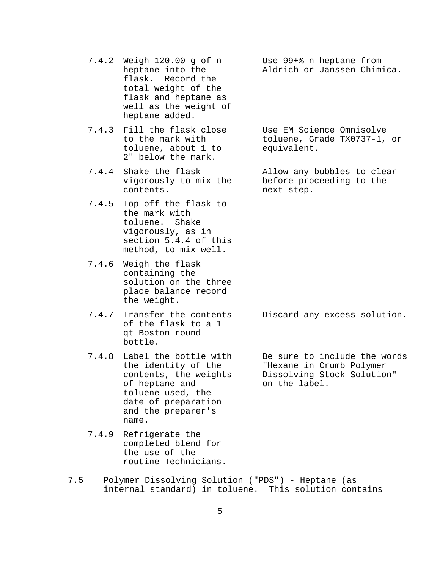- 7.4.2 Weigh 120.00 g of n- Use 99+% n-heptane from flask. Record the total weight of the flask and heptane as well as the weight of heptane added.
- 7.4.3 Fill the flask close Use EM Science Omnisolve<br>to the mark with toluene. Grade TX0737-1. toluene, about 1 to equivalent. 2" below the mark.
- 7.4.4 Shake the flask allow any bubbles to clear contents. next step.
- 7.4.5 Top off the flask to the mark with toluene. Shake vigorously, as in section 5.4.4 of this method, to mix well.
- 7.4.6 Weigh the flask containing the solution on the three place balance record the weight.
- of the flask to a 1 qt Boston round bottle.
- 7.4.8 Label the bottle with Be sure to include the words of heptane and toluene used, the date of preparation and the preparer's name.
- 7.4.9 Refrigerate the completed blend for the use of the routine Technicians.
- 7.5 Polymer Dissolving Solution ("PDS") Heptane (as internal standard) in toluene. This solution contains

heptane into the Aldrich or Janssen Chimica.

toluene, Grade TX0737-1, or

vigorously to mix the before proceeding to the

7.4.7 Transfer the contents Discard any excess solution.

the identity of the The The The Theorem Crumb Polymer<br>contents, the weights Dissolving Stock Solution Dissolving Stock Solution"<br>on the label.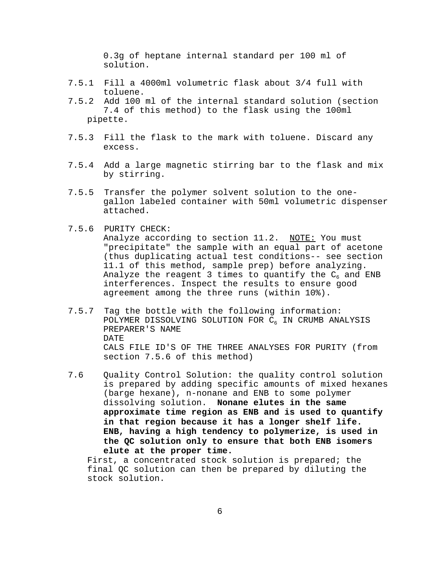0.3g of heptane internal standard per 100 ml of solution.

- 7.5.1 Fill a 4000ml volumetric flask about 3/4 full with toluene.
- 7.5.2 Add 100 ml of the internal standard solution (section 7.4 of this method) to the flask using the 100ml pipette.
- 7.5.3 Fill the flask to the mark with toluene. Discard any excess.
- 7.5.4 Add a large magnetic stirring bar to the flask and mix by stirring.
- 7.5.5 Transfer the polymer solvent solution to the onegallon labeled container with 50ml volumetric dispenser attached.
- 7.5.6 PURITY CHECK:

Analyze according to section 11.2. NOTE: You must "precipitate" the sample with an equal part of acetone (thus duplicating actual test conditions-- see section 11.1 of this method, sample prep) before analyzing. Analyze the reagent 3 times to quantify the  $C_6$  and ENB interferences. Inspect the results to ensure good agreement among the three runs (within 10%).

- 7.5.7 Tag the bottle with the following information: POLYMER DISSOLVING SOLUTION FOR C6 IN CRUMB ANALYSIS PREPARER'S NAME DATE CALS FILE ID'S OF THE THREE ANALYSES FOR PURITY (from section 7.5.6 of this method)
- 7.6 Quality Control Solution: the quality control solution is prepared by adding specific amounts of mixed hexanes (barge hexane), n-nonane and ENB to some polymer dissolving solution. **Nonane elutes in the same approximate time region as ENB and is used to quantify in that region because it has a longer shelf life. ENB, having a high tendency to polymerize, is used in the QC solution only to ensure that both ENB isomers elute at the proper time.**

First, a concentrated stock solution is prepared; the final QC solution can then be prepared by diluting the stock solution.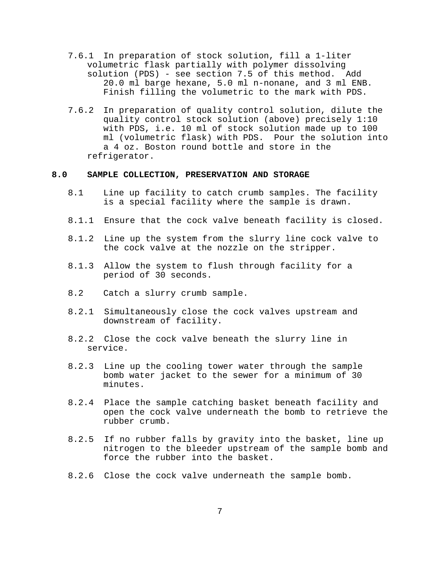- 7.6.1 In preparation of stock solution, fill a 1-liter volumetric flask partially with polymer dissolving solution (PDS) - see section 7.5 of this method. Add 20.0 ml barge hexane, 5.0 ml n-nonane, and 3 ml ENB. Finish filling the volumetric to the mark with PDS.
- 7.6.2 In preparation of quality control solution, dilute the quality control stock solution (above) precisely 1:10 with PDS, i.e. 10 ml of stock solution made up to 100 ml (volumetric flask) with PDS. Pour the solution into a 4 oz. Boston round bottle and store in the refrigerator.

## **8.0 SAMPLE COLLECTION, PRESERVATION AND STORAGE**

- 8.1 Line up facility to catch crumb samples. The facility is a special facility where the sample is drawn.
- 8.1.1 Ensure that the cock valve beneath facility is closed.
- 8.1.2 Line up the system from the slurry line cock valve to the cock valve at the nozzle on the stripper.
- 8.1.3 Allow the system to flush through facility for a period of 30 seconds.
- 8.2 Catch a slurry crumb sample.
- 8.2.1 Simultaneously close the cock valves upstream and downstream of facility.
- 8.2.2 Close the cock valve beneath the slurry line in service.
- 8.2.3 Line up the cooling tower water through the sample bomb water jacket to the sewer for a minimum of 30 minutes.
- 8.2.4 Place the sample catching basket beneath facility and open the cock valve underneath the bomb to retrieve the rubber crumb.
- 8.2.5 If no rubber falls by gravity into the basket, line up nitrogen to the bleeder upstream of the sample bomb and force the rubber into the basket.
- 8.2.6 Close the cock valve underneath the sample bomb.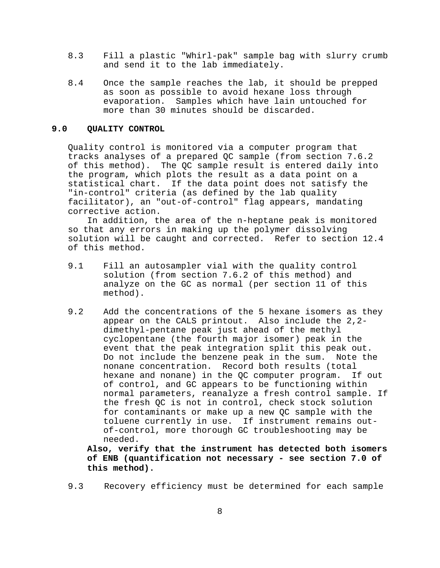- 8.3 Fill a plastic "Whirl-pak" sample bag with slurry crumb and send it to the lab immediately.
- 8.4 Once the sample reaches the lab, it should be prepped as soon as possible to avoid hexane loss through evaporation. Samples which have lain untouched for more than 30 minutes should be discarded.

#### **9.0 QUALITY CONTROL**

Quality control is monitored via a computer program that tracks analyses of a prepared QC sample (from section 7.6.2 of this method). The QC sample result is entered daily into the program, which plots the result as a data point on a statistical chart. If the data point does not satisfy the "in-control" criteria (as defined by the lab quality facilitator), an "out-of-control" flag appears, mandating corrective action.

In addition, the area of the n-heptane peak is monitored so that any errors in making up the polymer dissolving solution will be caught and corrected. Refer to section 12.4 of this method.

- 9.1 Fill an autosampler vial with the quality control solution (from section 7.6.2 of this method) and analyze on the GC as normal (per section 11 of this method).
- 9.2 Add the concentrations of the 5 hexane isomers as they appear on the CALS printout. Also include the 2,2 dimethyl-pentane peak just ahead of the methyl cyclopentane (the fourth major isomer) peak in the event that the peak integration split this peak out. Do not include the benzene peak in the sum. Note the nonane concentration. Record both results (total hexane and nonane) in the QC computer program. If out of control, and GC appears to be functioning within normal parameters, reanalyze a fresh control sample. If the fresh QC is not in control, check stock solution for contaminants or make up a new QC sample with the toluene currently in use. If instrument remains outof-control, more thorough GC troubleshooting may be needed.

**Also, verify that the instrument has detected both isomers of ENB (quantification not necessary - see section 7.0 of this method).**

9.3 Recovery efficiency must be determined for each sample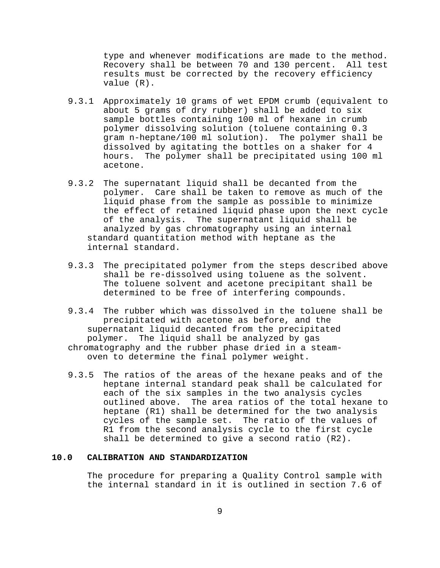type and whenever modifications are made to the method. Recovery shall be between 70 and 130 percent. All test results must be corrected by the recovery efficiency value (R).

- 9.3.1 Approximately 10 grams of wet EPDM crumb (equivalent to about 5 grams of dry rubber) shall be added to six sample bottles containing 100 ml of hexane in crumb polymer dissolving solution (toluene containing 0.3 gram n-heptane/100 ml solution). The polymer shall be dissolved by agitating the bottles on a shaker for 4 hours. The polymer shall be precipitated using 100 ml acetone.
- 9.3.2 The supernatant liquid shall be decanted from the polymer. Care shall be taken to remove as much of the liquid phase from the sample as possible to minimize the effect of retained liquid phase upon the next cycle of the analysis. The supernatant liquid shall be analyzed by gas chromatography using an internal standard quantitation method with heptane as the internal standard.
- 9.3.3 The precipitated polymer from the steps described above shall be re-dissolved using toluene as the solvent. The toluene solvent and acetone precipitant shall be determined to be free of interfering compounds.
- 9.3.4 The rubber which was dissolved in the toluene shall be precipitated with acetone as before, and the supernatant liquid decanted from the precipitated polymer. The liquid shall be analyzed by gas chromatography and the rubber phase dried in a steamoven to determine the final polymer weight.
- 9.3.5 The ratios of the areas of the hexane peaks and of the heptane internal standard peak shall be calculated for each of the six samples in the two analysis cycles outlined above. The area ratios of the total hexane to heptane (R1) shall be determined for the two analysis cycles of the sample set. The ratio of the values of R1 from the second analysis cycle to the first cycle shall be determined to give a second ratio (R2).

# **10.0 CALIBRATION AND STANDARDIZATION**

The procedure for preparing a Quality Control sample with the internal standard in it is outlined in section 7.6 of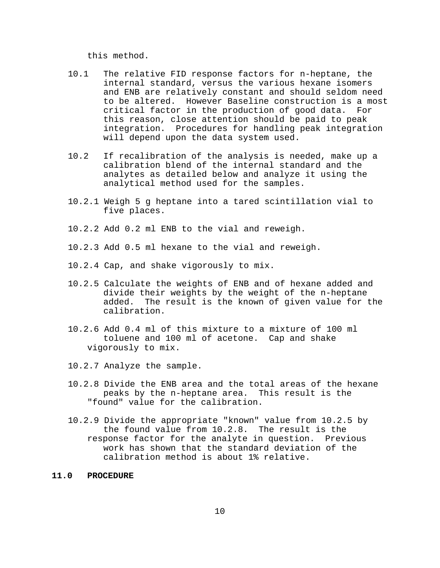this method.

- 10.1 The relative FID response factors for n-heptane, the internal standard, versus the various hexane isomers and ENB are relatively constant and should seldom need to be altered. However Baseline construction is a most critical factor in the production of good data. For this reason, close attention should be paid to peak integration. Procedures for handling peak integration will depend upon the data system used.
- 10.2 If recalibration of the analysis is needed, make up a calibration blend of the internal standard and the analytes as detailed below and analyze it using the analytical method used for the samples.
- 10.2.1 Weigh 5 g heptane into a tared scintillation vial to five places.
- 10.2.2 Add 0.2 ml ENB to the vial and reweigh.
- 10.2.3 Add 0.5 ml hexane to the vial and reweigh.
- 10.2.4 Cap, and shake vigorously to mix.
- 10.2.5 Calculate the weights of ENB and of hexane added and divide their weights by the weight of the n-heptane added. The result is the known of given value for the calibration.
- 10.2.6 Add 0.4 ml of this mixture to a mixture of 100 ml toluene and 100 ml of acetone. Cap and shake vigorously to mix.
- 10.2.7 Analyze the sample.
- 10.2.8 Divide the ENB area and the total areas of the hexane peaks by the n-heptane area. This result is the "found" value for the calibration.
- 10.2.9 Divide the appropriate "known" value from 10.2.5 by the found value from 10.2.8. The result is the response factor for the analyte in question. Previous work has shown that the standard deviation of the calibration method is about 1% relative.

## **11.0 PROCEDURE**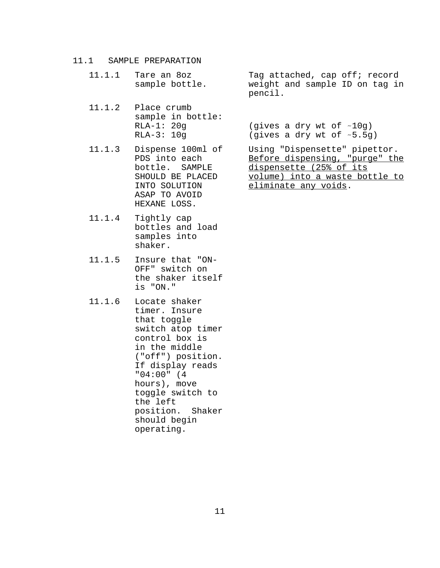### 11.1 SAMPLE PREPARATION

- 
- 11.1.2 Place crumb sample in bottle:
- 11.1.3 Dispense 100ml of Using "Dispensette" pipettor. ASAP TO AVOID HEXANE LOSS.
- 11.1.4 Tightly cap bottles and load samples into shaker.
- 11.1.5 Insure that "ON-OFF" switch on the shaker itself is "ON."
- 11.1.6 Locate shaker timer. Insure that toggle switch atop timer control box is in the middle ("off") position. If display reads "04:00" (4 hours), move toggle switch to the left position. Shaker should begin operating.

11.1.1 Tare an 8oz Tag attached, cap off; record sample bottle. weight and sample ID on tag in pencil.

> RLA-1:  $20g$  (gives a dry wt of  $\sim 10g$ ) RLA-3:  $10g$  (gives a dry wt of  $~5.5g$ )

PDS into each Before dispensing, "purge" the bottle. SAMPLE dispensette (25% of its SHOULD BE PLACED volume) into a waste bottle to INTO SOLUTION eliminate any voids.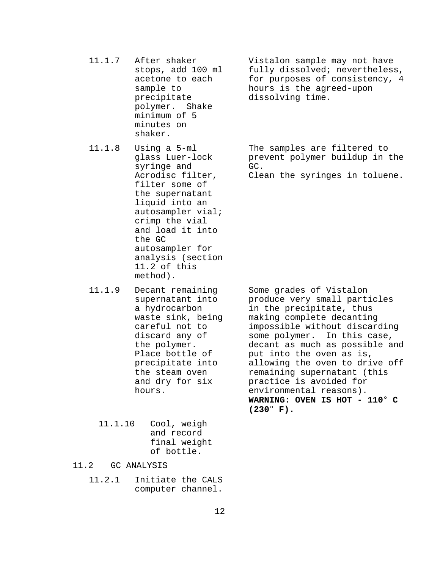precipitate dissolving time. polymer. Shake minimum of 5 minutes on shaker.

syringe and GC. filter some of the supernatant liquid into an autosampler vial; crimp the vial and load it into the GC autosampler for analysis (section 11.2 of this method).

- 11.1.9 Decant remaining Some grades of Vistalon
	- 11.1.10 Cool, weigh and record final weight of bottle.
- 11.2 GC ANALYSIS
	- 11.2.1 Initiate the CALS computer channel.

11.1.7 After shaker Vistalon sample may not have stops, add 100 ml fully dissolved; nevertheless, acetone to each for purposes of consistency, 4 sample to bours is the agreed-upon

11.1.8 Using a 5-ml The samples are filtered to glass Luer-lock prevent polymer buildup in the

Acrodisc filter, Clean the syringes in toluene.

supernatant into produce very small particles a hydrocarbon in the precipitate, thus waste sink, being making complete decanting careful not to impossible without discarding discard any of some polymer. In this case, the polymer. decant as much as possible and Place bottle of put into the oven as is, precipitate into allowing the oven to drive off the steam oven remaining supernatant (this and dry for six practice is avoided for hours. environmental reasons). **WARNING: OVEN IS HOT - 110° C**  $(230^{\circ} \text{ F}).$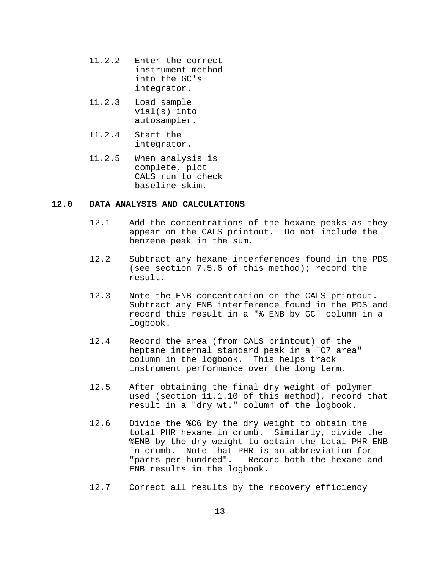- 11.2.2 Enter the correct instrument method into the GC's integrator.
- 11.2.3 Load sample vial(s) into autosampler.
- 11.2.4 Start the integrator.
- 11.2.5 When analysis is complete, plot CALS run to check baseline skim.

#### **12.0 DATA ANALYSIS AND CALCULATIONS**

- 12.1 Add the concentrations of the hexane peaks as they appear on the CALS printout. Do not include the benzene peak in the sum.
- 12.2 Subtract any hexane interferences found in the PDS (see section 7.5.6 of this method); record the result.
- 12.3 Note the ENB concentration on the CALS printout. Subtract any ENB interference found in the PDS and record this result in a "% ENB by GC" column in a logbook.
- 12.4 Record the area (from CALS printout) of the heptane internal standard peak in a "C7 area" column in the logbook. This helps track instrument performance over the long term.
- 12.5 After obtaining the final dry weight of polymer used (section 11.1.10 of this method), record that result in a "dry wt." column of the logbook.
- 12.6 Divide the %C6 by the dry weight to obtain the total PHR hexane in crumb. Similarly, divide the %ENB by the dry weight to obtain the total PHR ENB in crumb. Note that PHR is an abbreviation for "parts per hundred". Record both the hexane and ENB results in the logbook.
- 12.7 Correct all results by the recovery efficiency